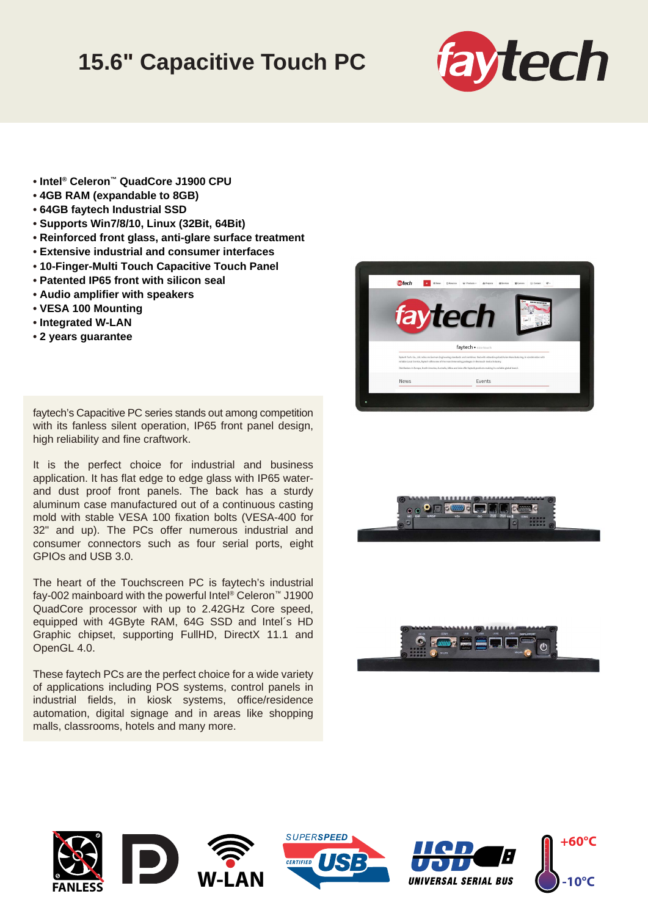## **15.6" Capacitive Touch PC**



- **Intel® Celeron™ QuadCore J1900 CPU**
- **4GB RAM (expandable to 8GB)**
- **64GB faytech Industrial SSD**
- **Supports Win7/8/10, Linux (32Bit, 64Bit)**
- **Reinforced front glass, anti-glare surface treatment**
- **Extensive industrial and consumer interfaces**
- **10-Finger-Multi Touch Capacitive Touch Panel**
- **Patented IP65 front with silicon seal**
- **Audio amplifier with speakers**
- **VESA 100 Mounting**
- **Integrated W-LAN**
- **2 years guarantee**

faytech's Capacitive PC series stands out among competition with its fanless silent operation, IP65 front panel design, high reliability and fine craftwork.

It is the perfect choice for industrial and business application. It has flat edge to edge glass with IP65 waterand dust proof front panels. The back has a sturdy aluminum case manufactured out of a continuous casting mold with stable VESA 100 fixation bolts (VESA-400 for 32" and up). The PCs offer numerous industrial and consumer connectors such as four serial ports, eight GPIOs and USB 3.0.

The heart of the Touchscreen PC is faytech's industrial fay-002 mainboard with the powerful Intel® Celeron™ J1900 QuadCore processor with up to 2.42GHz Core speed, equipped with 4GByte RAM, 64G SSD and Intel´s HD Graphic chipset, supporting FullHD, DirectX 11.1 and OpenGL 4.0.

These faytech PCs are the perfect choice for a wide variety of applications including POS systems, control panels in industrial fields, in kiosk systems, office/residence automation, digital signage and in areas like shopping malls, classrooms, hotels and many more.